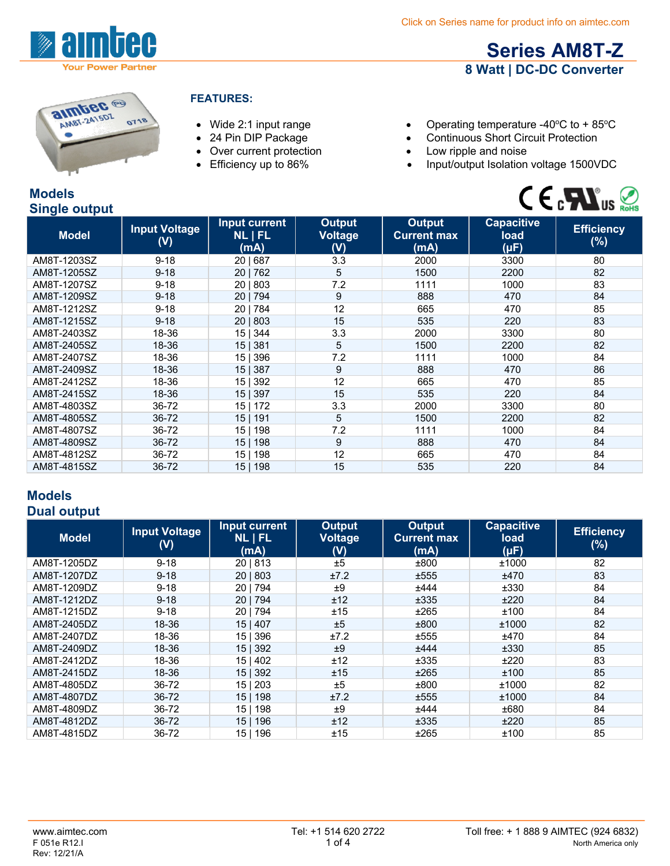

**Series AM8T-Z 8 Watt | DC-DC Converter**



### **FEATURES:**

- 
- 
- Over current protection Low ripple and noise<br>• Efficiency up to 86% Input/output Isolation
- 
- Wide 2:1 input range **•** Operating temperature -40°C to + 85°C
- 24 Pin DIP Package Continuous Short Circuit Protection
	-
	- Input/output Isolation voltage 1500VDC



| <b>Models</b>        |  |
|----------------------|--|
| <b>Single output</b> |  |

| $\tilde{\phantom{a}}$ |                             |                                         |                                        |                                             |                                        |                             |
|-----------------------|-----------------------------|-----------------------------------------|----------------------------------------|---------------------------------------------|----------------------------------------|-----------------------------|
| <b>Model</b>          | <b>Input Voltage</b><br>(V) | Input current<br><b>NL   FL</b><br>(mA) | <b>Output</b><br><b>Voltage</b><br>(V) | <b>Output</b><br><b>Current max</b><br>(mA) | <b>Capacitive</b><br>load<br>$(\mu F)$ | <b>Efficiency</b><br>$(\%)$ |
| AM8T-1203SZ           | $9 - 18$                    | 20   687                                | 3.3                                    | 2000                                        | 3300                                   | 80                          |
| AM8T-1205SZ           | $9 - 18$                    | 20 762                                  | 5                                      | 1500                                        | 2200                                   | 82                          |
| AM8T-1207SZ           | $9 - 18$                    | 20   803                                | 7.2                                    | 1111                                        | 1000                                   | 83                          |
| AM8T-1209SZ           | $9 - 18$                    | 20   794                                | 9                                      | 888                                         | 470                                    | 84                          |
| AM8T-1212SZ           | $9 - 18$                    | 20   784                                | 12                                     | 665                                         | 470                                    | 85                          |
| AM8T-1215SZ           | $9 - 18$                    | 20   803                                | 15                                     | 535                                         | 220                                    | 83                          |
| AM8T-2403SZ           | 18-36                       | 15   344                                | 3.3                                    | 2000                                        | 3300                                   | 80                          |
| AM8T-2405SZ           | 18-36                       | 15   381                                | 5                                      | 1500                                        | 2200                                   | 82                          |
| AM8T-2407SZ           | 18-36                       | 15   396                                | 7.2                                    | 1111                                        | 1000                                   | 84                          |
| AM8T-2409SZ           | 18-36                       | 15 <sub>1</sub><br>387                  | 9                                      | 888                                         | 470                                    | 86                          |
| AM8T-2412SZ           | 18-36                       | 15   392                                | 12                                     | 665                                         | 470                                    | 85                          |
| AM8T-2415SZ           | 18-36                       | 15   397                                | 15                                     | 535                                         | 220                                    | 84                          |
| AM8T-4803SZ           | 36-72                       | 15 <sub>1</sub><br>172                  | 3.3                                    | 2000                                        | 3300                                   | 80                          |
| AM8T-4805SZ           | 36-72                       | 15 <br>191                              | 5                                      | 1500                                        | 2200                                   | 82                          |
| AM8T-4807SZ           | 36-72                       | 198<br>15 I                             | 7.2                                    | 1111                                        | 1000                                   | 84                          |
| AM8T-4809SZ           | 36-72                       | 15 <sub>1</sub><br>198                  | 9                                      | 888                                         | 470                                    | 84                          |
| AM8T-4812SZ           | 36-72                       | 198<br>15 I                             | 12                                     | 665                                         | 470                                    | 84                          |
| AM8T-4815SZ           | 36-72                       | 198<br>15 <sub>1</sub>                  | 15                                     | 535                                         | 220                                    | 84                          |

# **Models**

### **Dual output**

| <b>Model</b> | <b>Input Voltage</b><br>(V) | Input current<br><b>NLIFL</b><br>(mA) | <b>Output</b><br><b>Voltage</b><br>(V) | Output<br><b>Current max</b><br>(mA) | <b>Capacitive</b><br>load<br>(µF) | <b>Efficiency</b><br>$(\%)$ |
|--------------|-----------------------------|---------------------------------------|----------------------------------------|--------------------------------------|-----------------------------------|-----------------------------|
| AM8T-1205DZ  | $9 - 18$                    | 20   813                              | ±5                                     | ±800                                 | ±1000                             | 82                          |
| AM8T-1207DZ  | $9 - 18$                    | 20   803                              | ±7.2                                   | ±555                                 | ±470                              | 83                          |
| AM8T-1209DZ  | $9 - 18$                    | 201794                                | ±9                                     | ±444                                 | ±330                              | 84                          |
| AM8T-1212DZ  | $9 - 18$                    | 20 794                                | ±12                                    | ±335                                 | ±220                              | 84                          |
| AM8T-1215DZ  | $9 - 18$                    | 20   794                              | ±15                                    | ±265                                 | ±100                              | 84                          |
| AM8T-2405DZ  | 18-36                       | 15 407                                | ±5                                     | ±800                                 | ±1000                             | 82                          |
| AM8T-2407DZ  | 18-36                       | 15   396                              | ±7.2                                   | ±555                                 | ±470                              | 84                          |
| AM8T-2409DZ  | 18-36                       | 15   392                              | ±9                                     | ±444                                 | ±330                              | 85                          |
| AM8T-2412DZ  | 18-36                       | 15 402                                | ±12                                    | ±335                                 | ±220                              | 83                          |
| AM8T-2415DZ  | 18-36                       | 15   392                              | ±15                                    | ±265                                 | ±100                              | 85                          |
| AM8T-4805DZ  | 36-72                       | 15 203                                | ±5                                     | ±800                                 | ±1000                             | 82                          |
| AM8T-4807DZ  | 36-72                       | 15   198                              | ±7.2                                   | ±555                                 | ±1000                             | 84                          |
| AM8T-4809DZ  | 36-72                       | 198<br>15                             | ±9                                     | ±444                                 | ±680                              | 84                          |
| AM8T-4812DZ  | 36-72                       | 196<br>15 <sub>1</sub>                | ±12                                    | ±335                                 | ±220                              | 85                          |
| AM8T-4815DZ  | 36-72                       | 15 I<br>196                           | ±15                                    | ±265                                 | ±100                              | 85                          |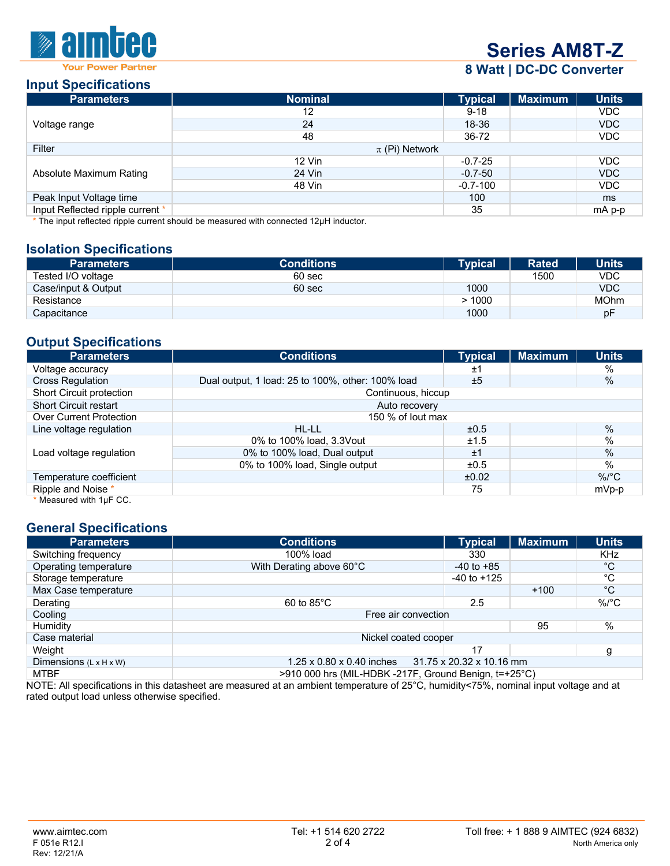

# **Series AM8T-Z**

# **8 Watt | DC-DC Converter**

#### **Input Specifications**

| <b>Parameters</b>                | <b>Nominal</b>     | <b>Typical</b> | <b>Maximum</b> | <b>Units</b> |
|----------------------------------|--------------------|----------------|----------------|--------------|
|                                  | 12                 | $9 - 18$       |                | VDC.         |
| Voltage range                    | 24                 | 18-36          |                | <b>VDC</b>   |
|                                  | 48                 | 36-72          |                | <b>VDC</b>   |
| Filter                           | $\pi$ (Pi) Network |                |                |              |
| Absolute Maximum Rating          | $12$ Vin           | $-0.7 - 25$    |                | <b>VDC</b>   |
|                                  | 24 Vin             | $-0.7-50$      |                | <b>VDC</b>   |
|                                  | 48 Vin             | $-0.7 - 100$   |                | <b>VDC</b>   |
| Peak Input Voltage time          |                    | 100            |                | ms           |
| Input Reflected ripple current * |                    | 35             |                | mA p-p       |

\* The input reflected ripple current should be measured with connected 12μH inductor.

# **Isolation Specifications**

| <b>Parameters</b>   | <b>Conditions</b> | <b>Typical</b> | <b>Rated</b> | <b>Units</b> |
|---------------------|-------------------|----------------|--------------|--------------|
| Tested I/O voltage  | 60 sec            |                | 1500         | <b>VDC</b>   |
| Case/input & Output | 60 sec            | 1000           |              | <b>VDC</b>   |
| Resistance          |                   | >1000          |              | <b>MOhm</b>  |
| Capacitance         |                   | 1000           |              | рF           |

# **Output Specifications**

| <b>Parameters</b>              | <b>Conditions</b>                                 | <b>Typical</b> | <b>Maximum</b> | <b>Units</b>  |
|--------------------------------|---------------------------------------------------|----------------|----------------|---------------|
| Voltage accuracy               |                                                   | ±1             |                | %             |
| <b>Cross Regulation</b>        | Dual output, 1 load: 25 to 100%, other: 100% load | ±5             |                | $\frac{0}{0}$ |
| Short Circuit protection       | Continuous, hiccup                                |                |                |               |
| <b>Short Circuit restart</b>   | Auto recovery                                     |                |                |               |
| <b>Over Current Protection</b> | 150 % of lout max                                 |                |                |               |
| Line voltage regulation        | HL-LL                                             | ±0.5           |                | $\%$          |
|                                | 0% to 100% load, 3.3 Vout                         | ±1.5           |                | $\%$          |
| Load voltage regulation        | 0% to 100% load, Dual output                      | ±1             |                | $\frac{0}{0}$ |
|                                | 0% to 100% load, Single output                    | ±0.5           |                | $\%$          |
| Temperature coefficient        |                                                   | ±0.02          |                | $\%$ /°C      |
| Ripple and Noise *             |                                                   | 75             |                | mVp-p         |
| * Measured with 1µF CC.        |                                                   |                |                |               |

### **General Specifications**

| <b>Parameters</b>                  | <b>Conditions</b>                                                 | <b>Typical</b>  | <b>Maximum</b> | <b>Units</b> |
|------------------------------------|-------------------------------------------------------------------|-----------------|----------------|--------------|
| Switching frequency                | 100% load                                                         | 330             |                | <b>KHz</b>   |
| Operating temperature              | With Derating above 60°C                                          | $-40$ to $+85$  |                | $^{\circ}$ C |
| Storage temperature                |                                                                   | $-40$ to $+125$ |                | °C           |
| Max Case temperature               |                                                                   |                 | $+100$         | $^{\circ}C$  |
| Derating                           | $60$ to $85^{\circ}$ C                                            | 2.5             |                | $\%$ /°C     |
| Cooling                            | Free air convection                                               |                 |                |              |
| Humidity                           |                                                                   |                 | 95             | $\%$         |
| Case material                      | Nickel coated cooper                                              |                 |                |              |
| Weight                             |                                                                   | 17              |                | g            |
| Dimensions $(L \times H \times W)$ | 31.75 x 20.32 x 10.16 mm<br>$1.25 \times 0.80 \times 0.40$ inches |                 |                |              |
| <b>MTBF</b>                        | >910 000 hrs (MIL-HDBK -217F, Ground Benign, t=+25°C)             |                 |                |              |

NOTE: All specifications in this datasheet are measured at an ambient temperature of 25°C, humidity<75%, nominal input voltage and at rated output load unless otherwise specified.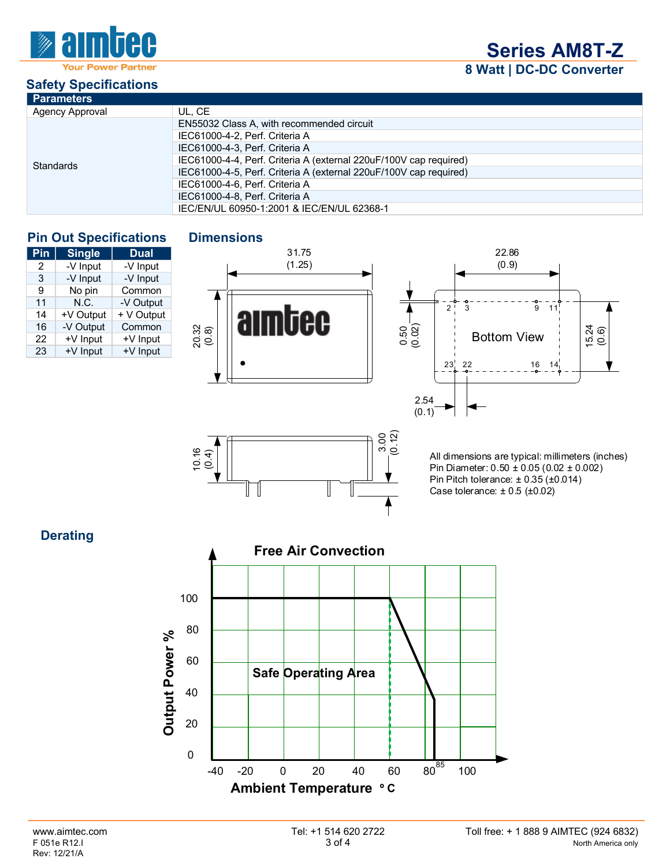

**Series AM8T-Z 8 Watt | DC-DC Converter**

# **Safety Specifications**

| <b>Parameters</b>      |                                                                   |
|------------------------|-------------------------------------------------------------------|
| <b>Agency Approval</b> | UL. CE                                                            |
|                        | EN55032 Class A, with recommended circuit                         |
|                        | IEC61000-4-2, Perf. Criteria A                                    |
|                        | IEC61000-4-3, Perf. Criteria A                                    |
| Standards              | IEC61000-4-4, Perf. Criteria A (external 220uF/100V cap required) |
|                        | IEC61000-4-5, Perf. Criteria A (external 220uF/100V cap required) |
|                        | IEC61000-4-6, Perf. Criteria A                                    |
|                        | IEC61000-4-8, Perf. Criteria A                                    |
|                        | IEC/EN/UL 60950-1:2001 & IEC/EN/UL 62368-1                        |

# **Pin Out Specifications Dimensions**

| Pin | <b>Single</b> | <b>Dual</b> |
|-----|---------------|-------------|
| 2   | -V Input      | -V Input    |
| 3   | -V Input      | -V Input    |
| 9   | No pin        | Common      |
| 11  | N.C.          | -V Output   |
| 14  | +V Output     | + V Output  |
| 16  | -V Output     | Common      |
| 22  | +V Input      | +V Input    |
| 23  | +V Input      | +V Input    |
|     |               |             |

16 4)<br>10.4)

 $\mathbf{r}$ Ш





All dimensions are typical: millimeters (inches) Pin Diameter: 0.50 ± 0.05 (0.02 ± 0.002) Pin Pitch tolerance: ± 0.35 (±0.014) Case tolerance:  $\pm 0.5$  ( $\pm 0.02$ )

# **Derating**



3.00 (0.12)